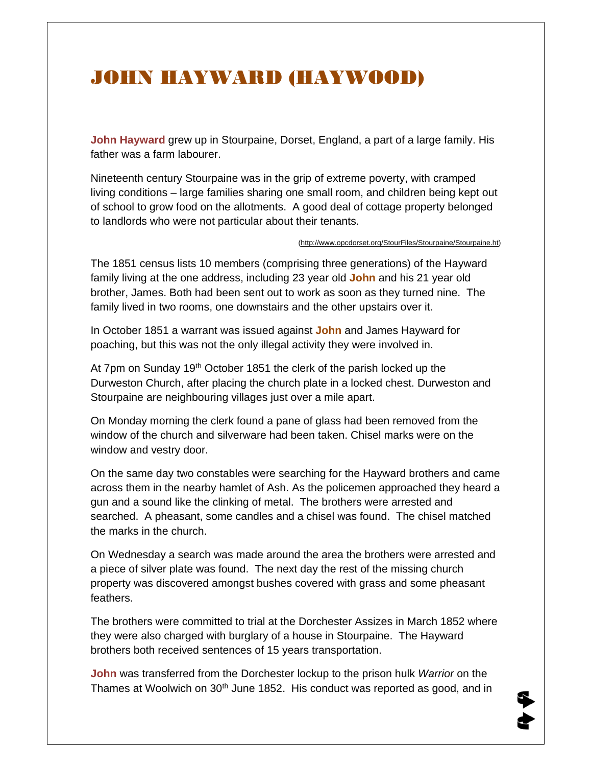## JOHN HAYWARD (HAYWOOD)

**John Hayward** grew up in Stourpaine, Dorset, England, a part of a large family. His father was a farm labourer.

Nineteenth century Stourpaine was in the grip of extreme poverty, with cramped living conditions – large families sharing one small room, and children being kept out of school to grow food on the allotments. A good deal of cottage property belonged to landlords who were not particular about their tenants.

(http://www.opcdorset.org/StourFiles/Stourpaine/Stourpaine.ht)

The 1851 census lists 10 members (comprising three generations) of the Hayward family living at the one address, including 23 year old **John** and his 21 year old brother, James. Both had been sent out to work as soon as they turned nine. The family lived in two rooms, one downstairs and the other upstairs over it.

In October 1851 a warrant was issued against **John** and James Hayward for poaching, but this was not the only illegal activity they were involved in.

At 7pm on Sunday 19<sup>th</sup> October 1851 the clerk of the parish locked up the Durweston Church, after placing the church plate in a locked chest. Durweston and Stourpaine are neighbouring villages just over a mile apart.

On Monday morning the clerk found a pane of glass had been removed from the window of the church and silverware had been taken. Chisel marks were on the window and vestry door.

On the same day two constables were searching for the Hayward brothers and came across them in the nearby hamlet of Ash. As the policemen approached they heard a gun and a sound like the clinking of metal. The brothers were arrested and searched. A pheasant, some candles and a chisel was found. The chisel matched the marks in the church.

On Wednesday a search was made around the area the brothers were arrested and a piece of silver plate was found. The next day the rest of the missing church property was discovered amongst bushes covered with grass and some pheasant feathers.

The brothers were committed to trial at the Dorchester Assizes in March 1852 where they were also charged with burglary of a house in Stourpaine. The Hayward brothers both received sentences of 15 years transportation.

**John** was transferred from the Dorchester lockup to the prison hulk *Warrior* on the Thames at Woolwich on 30<sup>th</sup> June 1852. His conduct was reported as good, and in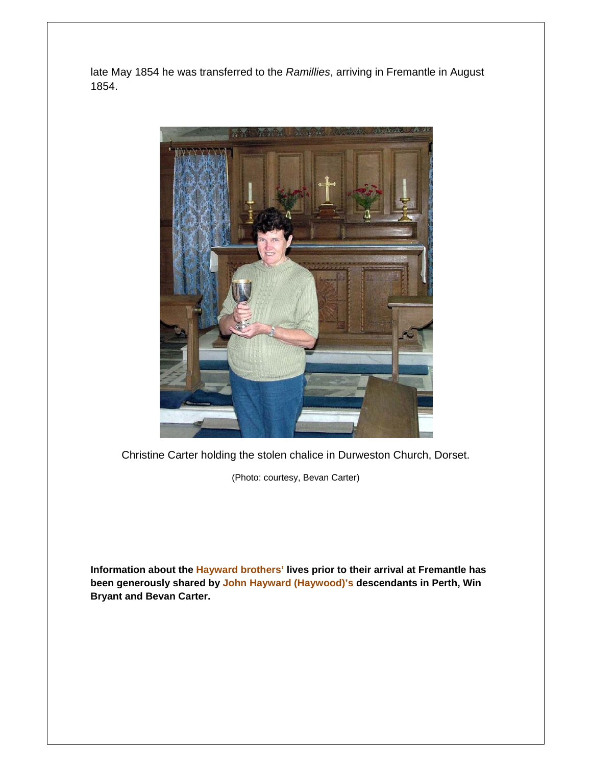late May 1854 he was transferred to the *Ramillies*, arriving in Fremantle in August 1854.



Christine Carter holding the stolen chalice in Durweston Church, Dorset.

(Photo: courtesy, Bevan Carter)

**Information about the Hayward brothers' lives prior to their arrival at Fremantle has been generously shared by John Hayward (Haywood)'s descendants in Perth, Win Bryant and Bevan Carter.**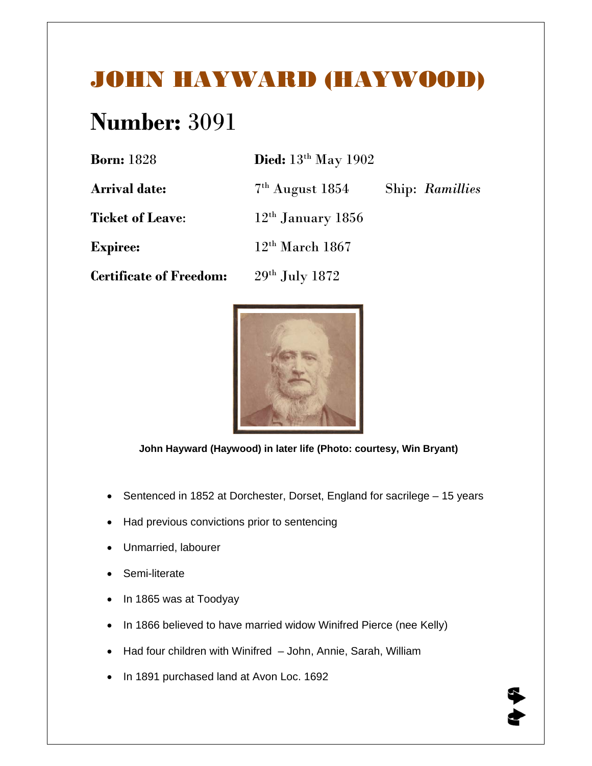## JOHN HAYWARD (HAYWOOD)

## **Number:** 3091

| <b>Born:</b> 1828              | Died: $13th$ May 1902 |                 |
|--------------------------------|-----------------------|-----------------|
| <b>Arrival date:</b>           | $7th$ August 1854     | Ship: Ramillies |
| <b>Ticket of Leave:</b>        | $12th$ January 1856   |                 |
| <b>Expiree:</b>                | $12th$ March 1867     |                 |
| <b>Certificate of Freedom:</b> | $29th$ July 1872      |                 |
|                                |                       |                 |



 **John Hayward (Haywood) in later life (Photo: courtesy, Win Bryant)** 

- Sentenced in 1852 at Dorchester, Dorset, England for sacrilege 15 years
- Had previous convictions prior to sentencing
- Unmarried, labourer
- Semi-literate
- In 1865 was at Toodyay
- In 1866 believed to have married widow Winifred Pierce (nee Kelly)
- Had four children with Winifred John, Annie, Sarah, William
- In 1891 purchased land at Avon Loc. 1692